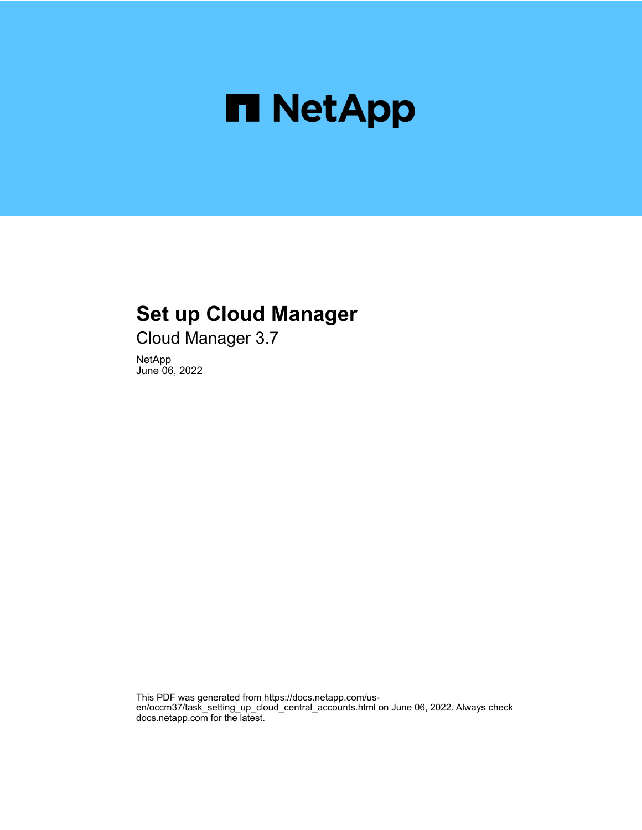

# **Set up Cloud Manager**

Cloud Manager 3.7

NetApp June 06, 2022

This PDF was generated from https://docs.netapp.com/usen/occm37/task\_setting\_up\_cloud\_central\_accounts.html on June 06, 2022. Always check docs.netapp.com for the latest.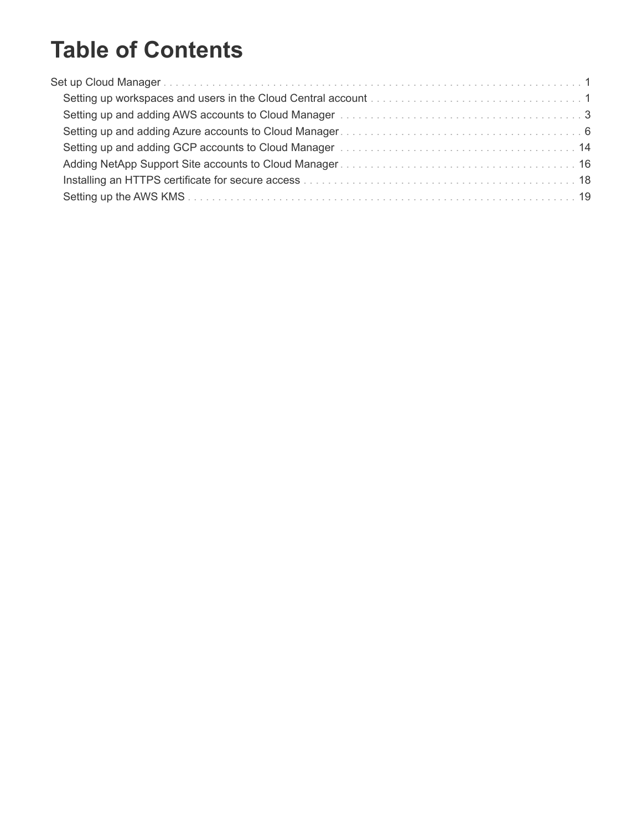# **Table of Contents**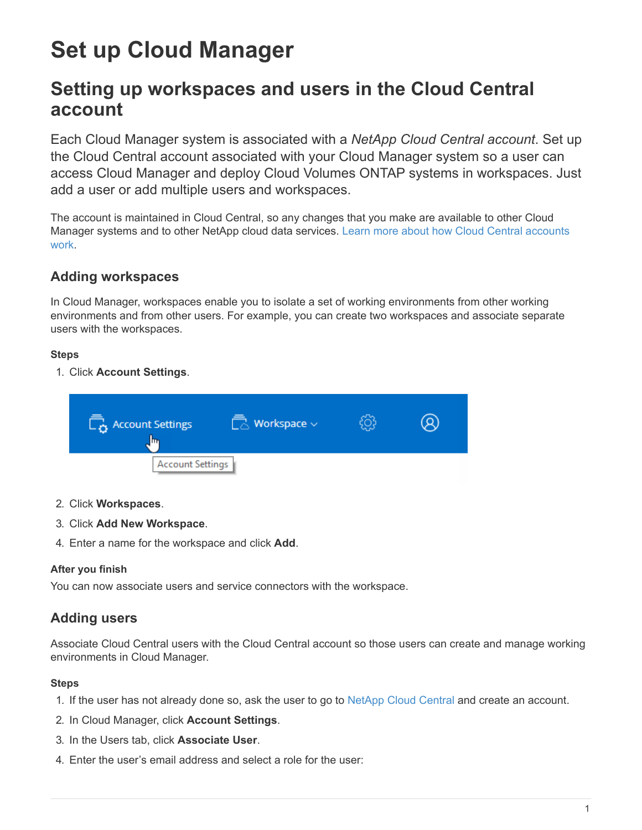# <span id="page-2-0"></span>**Set up Cloud Manager**

## <span id="page-2-1"></span>**Setting up workspaces and users in the Cloud Central account**

Each Cloud Manager system is associated with a *NetApp Cloud Central account*. Set up the Cloud Central account associated with your Cloud Manager system so a user can access Cloud Manager and deploy Cloud Volumes ONTAP systems in workspaces. Just add a user or add multiple users and workspaces.

The account is maintained in Cloud Central, so any changes that you make are available to other Cloud Manager systems and to other NetApp cloud data services. [Learn more about how Cloud Central accounts](https://docs.netapp.com/us-en/occm37/concept_cloud_central_accounts.html) [work](https://docs.netapp.com/us-en/occm37/concept_cloud_central_accounts.html).

### **Adding workspaces**

In Cloud Manager, workspaces enable you to isolate a set of working environments from other working environments and from other users. For example, you can create two workspaces and associate separate users with the workspaces.

#### **Steps**

1. Click **Account Settings**.



- 2. Click **Workspaces**.
- 3. Click **Add New Workspace**.
- 4. Enter a name for the workspace and click **Add**.

#### **After you finish**

You can now associate users and service connectors with the workspace.

## **Adding users**

Associate Cloud Central users with the Cloud Central account so those users can create and manage working environments in Cloud Manager.

- 1. If the user has not already done so, ask the user to go to [NetApp Cloud Central](https://cloud.netapp.com) and create an account.
- 2. In Cloud Manager, click **Account Settings**.
- 3. In the Users tab, click **Associate User**.
- 4. Enter the user's email address and select a role for the user: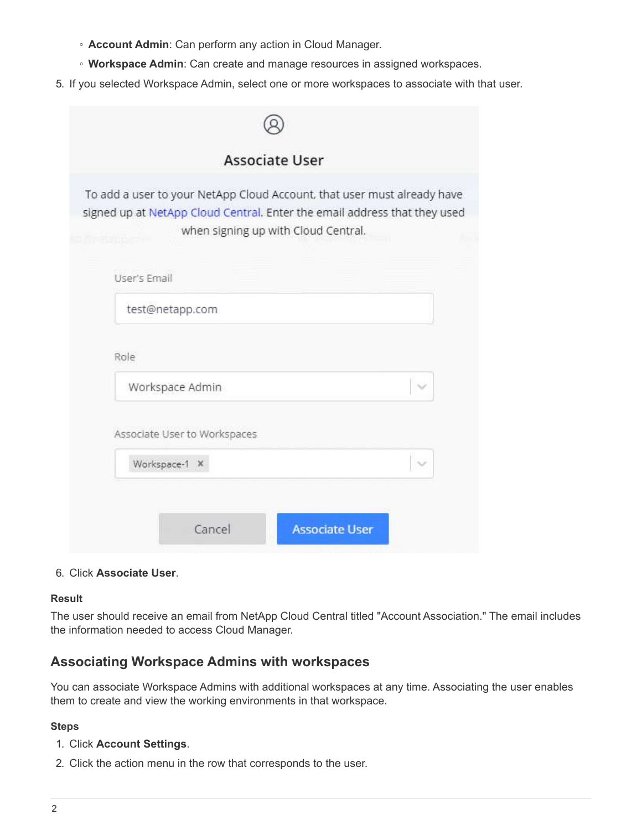- **Account Admin**: Can perform any action in Cloud Manager.
- **Workspace Admin**: Can create and manage resources in assigned workspaces.
- 5. If you selected Workspace Admin, select one or more workspaces to associate with that user.

|                 | <b>Associate User</b>               |                                                                           |
|-----------------|-------------------------------------|---------------------------------------------------------------------------|
|                 |                                     | To add a user to your NetApp Cloud Account, that user must already have   |
|                 | when signing up with Cloud Central. | signed up at NetApp Cloud Central. Enter the email address that they used |
|                 |                                     |                                                                           |
| User's Email    |                                     |                                                                           |
| test@netapp.com |                                     |                                                                           |
|                 |                                     |                                                                           |
| Role            |                                     |                                                                           |
|                 |                                     |                                                                           |
| Workspace Admin |                                     |                                                                           |
|                 | Associate User to Workspaces        |                                                                           |
| Workspace-1 X   |                                     |                                                                           |

#### 6. Click **Associate User**.

#### **Result**

The user should receive an email from NetApp Cloud Central titled "Account Association." The email includes the information needed to access Cloud Manager.

## **Associating Workspace Admins with workspaces**

You can associate Workspace Admins with additional workspaces at any time. Associating the user enables them to create and view the working environments in that workspace.

- 1. Click **Account Settings**.
- 2. Click the action menu in the row that corresponds to the user.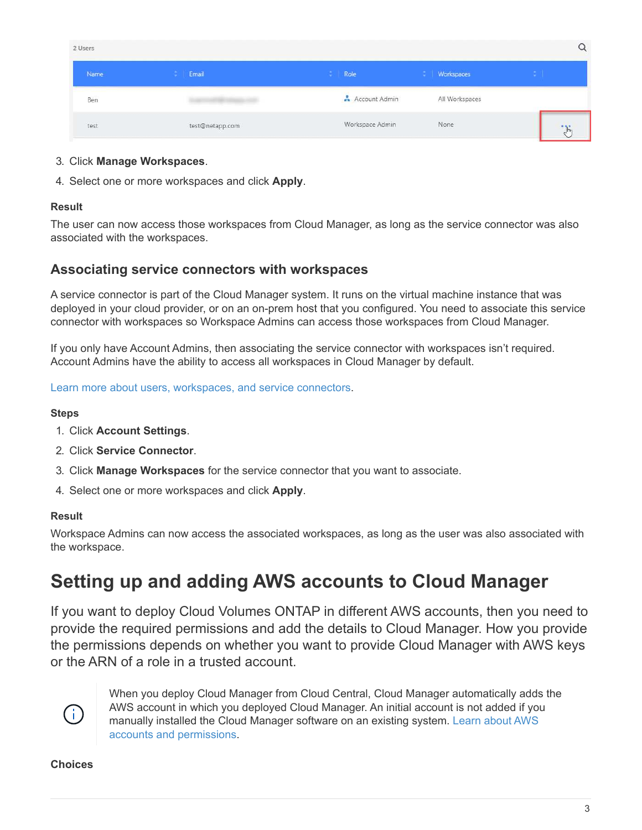| 2 Users |                 |                 |                |              |
|---------|-----------------|-----------------|----------------|--------------|
| Name    | Email           | Role<br>÷       | Workspaces     |              |
| Ben     |                 | Account Admin   | All Workspaces |              |
| test    | test@netapp.com | Workspace Admin | None           | $\mathbf{E}$ |

#### 3. Click **Manage Workspaces**.

4. Select one or more workspaces and click **Apply**.

#### **Result**

The user can now access those workspaces from Cloud Manager, as long as the service connector was also associated with the workspaces.

### **Associating service connectors with workspaces**

A service connector is part of the Cloud Manager system. It runs on the virtual machine instance that was deployed in your cloud provider, or on an on-prem host that you configured. You need to associate this service connector with workspaces so Workspace Admins can access those workspaces from Cloud Manager.

If you only have Account Admins, then associating the service connector with workspaces isn't required. Account Admins have the ability to access all workspaces in Cloud Manager by default.

[Learn more about users, workspaces, and service connectors.](https://docs.netapp.com/us-en/occm37/concept_cloud_central_accounts.html#users-workspaces-and-service-connectors)

#### **Steps**

- 1. Click **Account Settings**.
- 2. Click **Service Connector**.
- 3. Click **Manage Workspaces** for the service connector that you want to associate.
- 4. Select one or more workspaces and click **Apply**.

#### **Result**

Workspace Admins can now access the associated workspaces, as long as the user was also associated with the workspace.

## <span id="page-4-0"></span>**Setting up and adding AWS accounts to Cloud Manager**

If you want to deploy Cloud Volumes ONTAP in different AWS accounts, then you need to provide the required permissions and add the details to Cloud Manager. How you provide the permissions depends on whether you want to provide Cloud Manager with AWS keys or the ARN of a role in a trusted account.



When you deploy Cloud Manager from Cloud Central, Cloud Manager automatically adds the AWS account in which you deployed Cloud Manager. An initial account is not added if you manually installed the Cloud Manager software on an existing system. [Learn about AWS](https://docs.netapp.com/us-en/occm37/concept_accounts_aws.html) [accounts and permissions.](https://docs.netapp.com/us-en/occm37/concept_accounts_aws.html)

#### **Choices**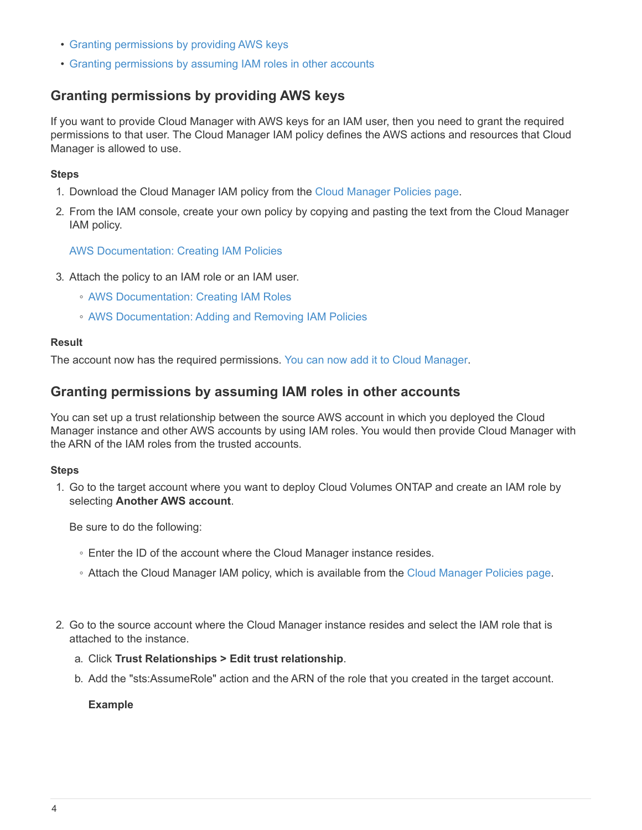- [Granting permissions by providing AWS keys](#page-5-0)
- [Granting permissions by assuming IAM roles in other accounts](#page-5-1)

### <span id="page-5-0"></span>**Granting permissions by providing AWS keys**

If you want to provide Cloud Manager with AWS keys for an IAM user, then you need to grant the required permissions to that user. The Cloud Manager IAM policy defines the AWS actions and resources that Cloud Manager is allowed to use.

#### **Steps**

- 1. Download the Cloud Manager IAM policy from the [Cloud Manager Policies page.](https://mysupport.netapp.com/cloudontap/iampolicies)
- 2. From the IAM console, create your own policy by copying and pasting the text from the Cloud Manager IAM policy.

[AWS Documentation: Creating IAM Policies](https://docs.aws.amazon.com/IAM/latest/UserGuide/access_policies_create.html)

- 3. Attach the policy to an IAM role or an IAM user.
	- [AWS Documentation: Creating IAM Roles](https://docs.aws.amazon.com/IAM/latest/UserGuide/id_roles_create.html)
	- [AWS Documentation: Adding and Removing IAM Policies](https://docs.aws.amazon.com/IAM/latest/UserGuide/access_policies_manage-attach-detach.html)

#### **Result**

The account now has the required permissions. [You can now add it to Cloud Manager](#page-6-0).

### <span id="page-5-1"></span>**Granting permissions by assuming IAM roles in other accounts**

You can set up a trust relationship between the source AWS account in which you deployed the Cloud Manager instance and other AWS accounts by using IAM roles. You would then provide Cloud Manager with the ARN of the IAM roles from the trusted accounts.

#### **Steps**

1. Go to the target account where you want to deploy Cloud Volumes ONTAP and create an IAM role by selecting **Another AWS account**.

Be sure to do the following:

- Enter the ID of the account where the Cloud Manager instance resides.
- Attach the Cloud Manager IAM policy, which is available from the [Cloud Manager Policies page.](https://mysupport.netapp.com/cloudontap/iampolicies)
- 2. Go to the source account where the Cloud Manager instance resides and select the IAM role that is attached to the instance.
	- a. Click **Trust Relationships > Edit trust relationship**.
	- b. Add the "sts:AssumeRole" action and the ARN of the role that you created in the target account.

#### **Example**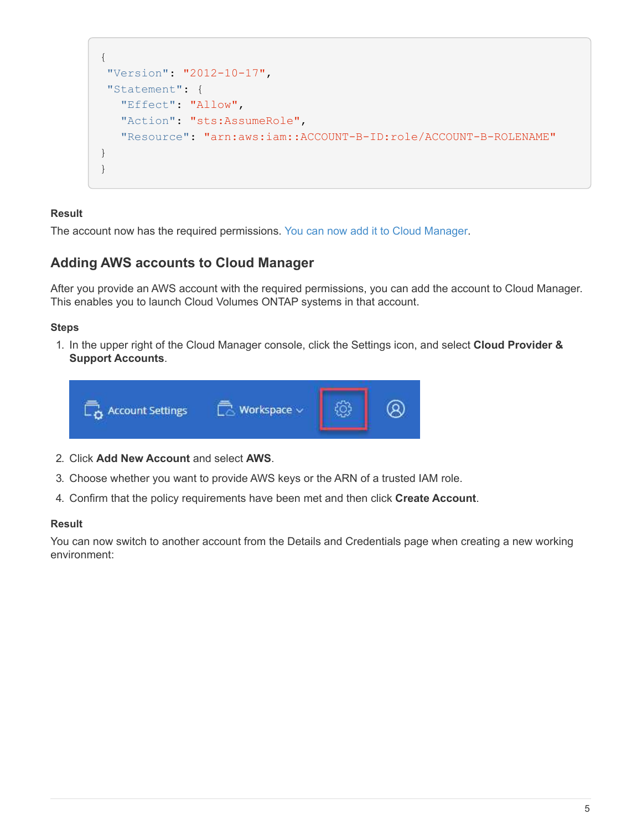```
{
"Version": "2012-10-17",
"Statement": {
     "Effect": "Allow",
     "Action": "sts:AssumeRole",
     "Resource": "arn:aws:iam::ACCOUNT-B-ID:role/ACCOUNT-B-ROLENAME"
}
}
```
#### **Result**

The account now has the required permissions. [You can now add it to Cloud Manager](#page-6-0).

### <span id="page-6-0"></span>**Adding AWS accounts to Cloud Manager**

After you provide an AWS account with the required permissions, you can add the account to Cloud Manager. This enables you to launch Cloud Volumes ONTAP systems in that account.

#### **Steps**

1. In the upper right of the Cloud Manager console, click the Settings icon, and select **Cloud Provider & Support Accounts**.



- 2. Click **Add New Account** and select **AWS**.
- 3. Choose whether you want to provide AWS keys or the ARN of a trusted IAM role.
- 4. Confirm that the policy requirements have been met and then click **Create Account**.

#### **Result**

You can now switch to another account from the Details and Credentials page when creating a new working environment: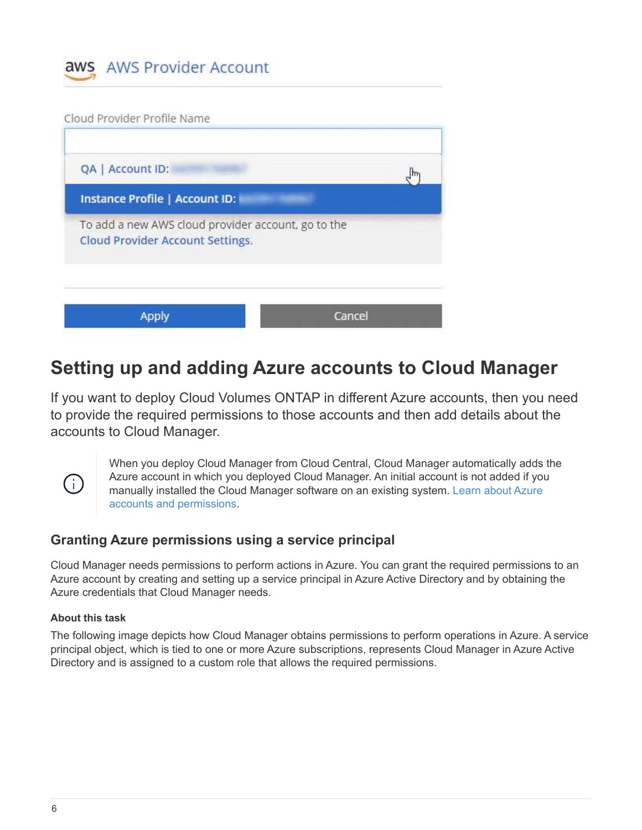



## <span id="page-7-0"></span>**Setting up and adding Azure accounts to Cloud Manager**

If you want to deploy Cloud Volumes ONTAP in different Azure accounts, then you need to provide the required permissions to those accounts and then add details about the accounts to Cloud Manager.



When you deploy Cloud Manager from Cloud Central, Cloud Manager automatically adds the Azure account in which you deployed Cloud Manager. An initial account is not added if you manually installed the Cloud Manager software on an existing system. [Learn about Azure](https://docs.netapp.com/us-en/occm37/concept_accounts_azure.html) [accounts and permissions.](https://docs.netapp.com/us-en/occm37/concept_accounts_azure.html)

## **Granting Azure permissions using a service principal**

Cloud Manager needs permissions to perform actions in Azure. You can grant the required permissions to an Azure account by creating and setting up a service principal in Azure Active Directory and by obtaining the Azure credentials that Cloud Manager needs.

#### **About this task**

The following image depicts how Cloud Manager obtains permissions to perform operations in Azure. A service principal object, which is tied to one or more Azure subscriptions, represents Cloud Manager in Azure Active Directory and is assigned to a custom role that allows the required permissions.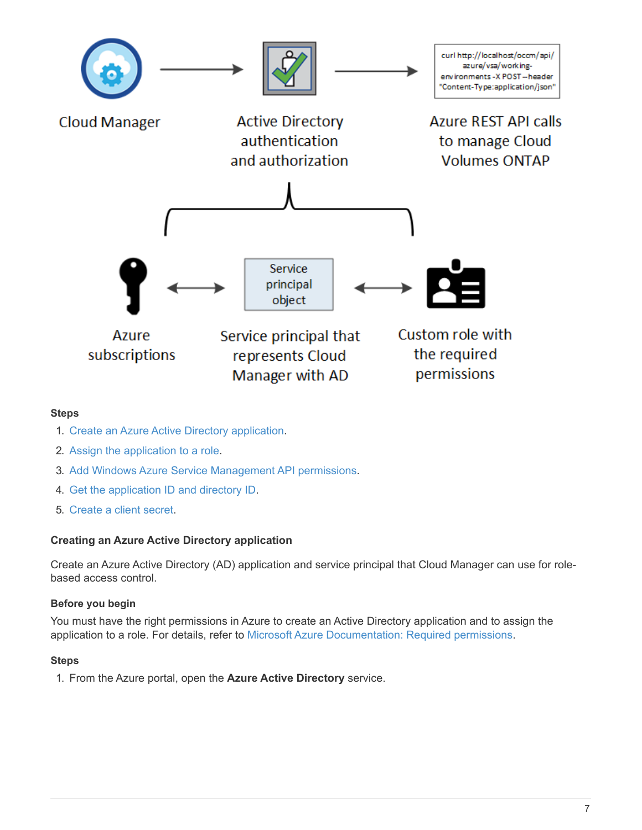

#### **Steps**

- 1. [Create an Azure Active Directory application.](#page-8-0)
- 2. [Assign the application to a role](#page-9-0).
- 3. [Add Windows Azure Service Management API permissions](#page-10-0).
- 4. [Get the application ID and directory ID](#page-12-0).
- 5. [Create a client secret](#page-12-1).

#### <span id="page-8-0"></span>**Creating an Azure Active Directory application**

Create an Azure Active Directory (AD) application and service principal that Cloud Manager can use for rolebased access control.

#### **Before you begin**

You must have the right permissions in Azure to create an Active Directory application and to assign the application to a role. For details, refer to [Microsoft Azure Documentation: Required permissions](https://docs.microsoft.com/en-us/azure/active-directory/develop/howto-create-service-principal-portal#required-permissions/).

#### **Steps**

1. From the Azure portal, open the **Azure Active Directory** service.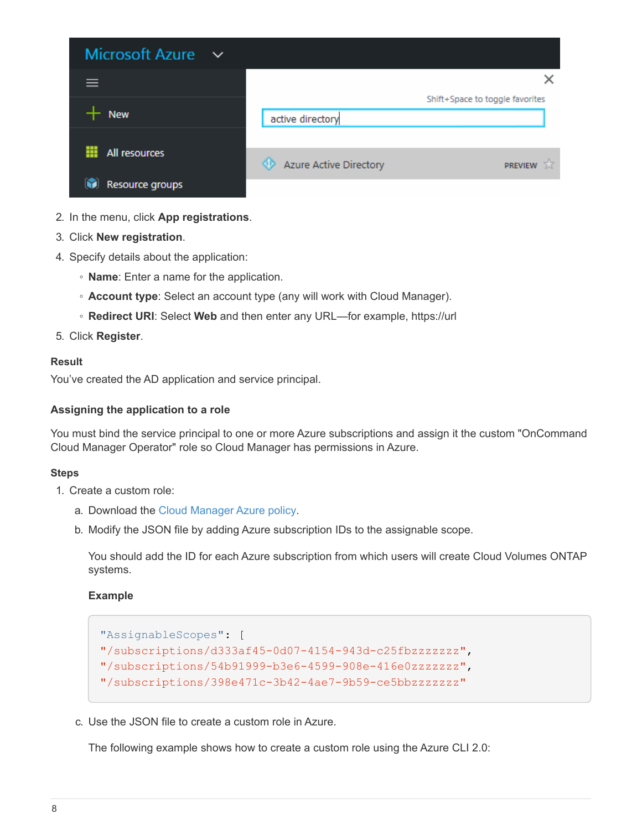| <b>Microsoft Azure</b><br>$\sim$ |                               |                                 |
|----------------------------------|-------------------------------|---------------------------------|
|                                  |                               |                                 |
|                                  |                               | Shift+Space to toggle favorites |
| <b>New</b>                       | active directory              |                                 |
|                                  |                               |                                 |
| All resources                    | <b>Azure Active Directory</b> | 53<br><b>PREVIEW</b>            |
| Resource groups                  |                               |                                 |

- 2. In the menu, click **App registrations**.
- 3. Click **New registration**.
- 4. Specify details about the application:
	- **Name**: Enter a name for the application.
	- **Account type**: Select an account type (any will work with Cloud Manager).
	- **Redirect URI**: Select **Web** and then enter any URL—for example, https://url
- 5. Click **Register**.

#### **Result**

You've created the AD application and service principal.

#### <span id="page-9-0"></span>**Assigning the application to a role**

You must bind the service principal to one or more Azure subscriptions and assign it the custom "OnCommand Cloud Manager Operator" role so Cloud Manager has permissions in Azure.

#### **Steps**

- 1. Create a custom role:
	- a. Download the [Cloud Manager Azure policy.](https://mysupport.netapp.com/cloudontap/iampolicies)
	- b. Modify the JSON file by adding Azure subscription IDs to the assignable scope.

You should add the ID for each Azure subscription from which users will create Cloud Volumes ONTAP systems.

#### **Example**

```
"AssignableScopes": [
"/subscriptions/d333af45-0d07-4154-943d-c25fbzzzzzzz",
"/subscriptions/54b91999-b3e6-4599-908e-416e0zzzzzzz",
"/subscriptions/398e471c-3b42-4ae7-9b59-ce5bbzzzzzzz"
```
c. Use the JSON file to create a custom role in Azure.

The following example shows how to create a custom role using the Azure CLI 2.0: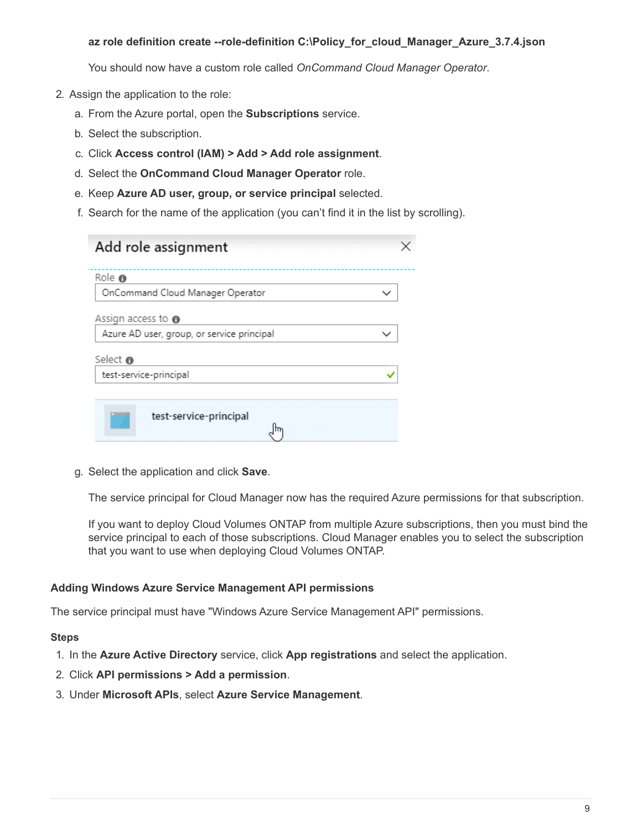#### **az role definition create --role-definition C:\Policy\_for\_cloud\_Manager\_Azure\_3.7.4.json**

You should now have a custom role called *OnCommand Cloud Manager Operator*.

- 2. Assign the application to the role:
	- a. From the Azure portal, open the **Subscriptions** service.
	- b. Select the subscription.
	- c. Click **Access control (IAM) > Add > Add role assignment**.
	- d. Select the **OnCommand Cloud Manager Operator** role.
	- e. Keep **Azure AD user, group, or service principal** selected.
	- f. Search for the name of the application (you can't find it in the list by scrolling).

| Role ®                                     |  |
|--------------------------------------------|--|
| OnCommand Cloud Manager Operator           |  |
| Assign access to $\bullet$                 |  |
| Azure AD user, group, or service principal |  |
| Select <sup>®</sup>                        |  |
| test-service-principal                     |  |
|                                            |  |

g. Select the application and click **Save**.

The service principal for Cloud Manager now has the required Azure permissions for that subscription.

If you want to deploy Cloud Volumes ONTAP from multiple Azure subscriptions, then you must bind the service principal to each of those subscriptions. Cloud Manager enables you to select the subscription that you want to use when deploying Cloud Volumes ONTAP.

#### <span id="page-10-0"></span>**Adding Windows Azure Service Management API permissions**

The service principal must have "Windows Azure Service Management API" permissions.

- 1. In the **Azure Active Directory** service, click **App registrations** and select the application.
- 2. Click **API permissions > Add a permission**.
- 3. Under **Microsoft APIs**, select **Azure Service Management**.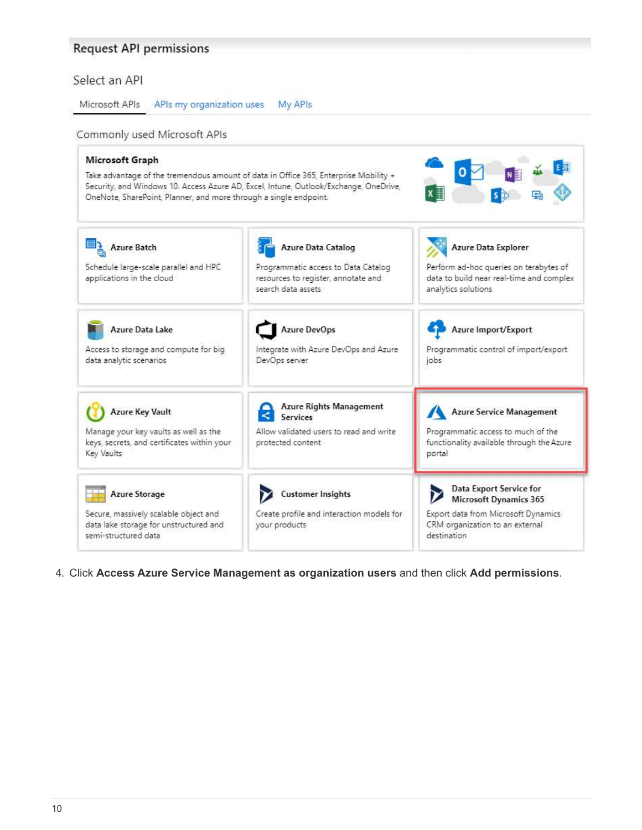## Request API permissions

### Select an API

Microsoft APIs APIs my organization uses My APIs

#### Commonly used Microsoft APIs

| Microsoft Graph<br>Take advantage of the tremendous amount of data in Office 365, Enterprise Mobility +<br>OneNote, SharePoint, Planner, and more through a single endpoint. | Security, and Windows 10. Access Azure AD, Excel, Intune, Outlook/Exchange, OneDrive,                                  |                                                                                                                                                   |
|------------------------------------------------------------------------------------------------------------------------------------------------------------------------------|------------------------------------------------------------------------------------------------------------------------|---------------------------------------------------------------------------------------------------------------------------------------------------|
| <b>Azure Batch</b><br>Schedule large-scale parallel and HPC<br>applications in the cloud                                                                                     | Azure Data Catalog<br>Programmatic access to Data Catalog<br>resources to register, annotate and<br>search data assets | Azure Data Explorer<br>Perform ad-hoc queries on terabytes of<br>data to build near real-time and complex<br>analytics solutions                  |
| Azure Data Lake<br>Access to storage and compute for big<br>data analytic scenarios                                                                                          | <b>Azure DevOps</b><br>Integrate with Azure DevOps and Azure<br>DevOps server                                          | Azure Import/Export<br>Programmatic control of import/export<br>jobs                                                                              |
| <b>Azure Key Vault</b><br>Manage your key vaults as well as the<br>keys, secrets, and certificates within your<br>Key Vaults                                                 | <b>Azure Rights Management</b><br><b>Services</b><br>Allow validated users to read and write<br>protected content      | <b>Azure Service Management</b><br>Programmatic access to much of the<br>functionality available through the Azure<br>portal                      |
| <b>Azure Storage</b><br>Secure, massively scalable object and<br>data lake storage for unstructured and<br>semi-structured data                                              | <b>Customer Insights</b><br>Create profile and interaction models for<br>your products                                 | Data Export Service for<br><b>Microsoft Dynamics 365</b><br>Export data from Microsoft Dynamics<br>CRM organization to an external<br>destination |

4. Click **Access Azure Service Management as organization users** and then click **Add permissions**.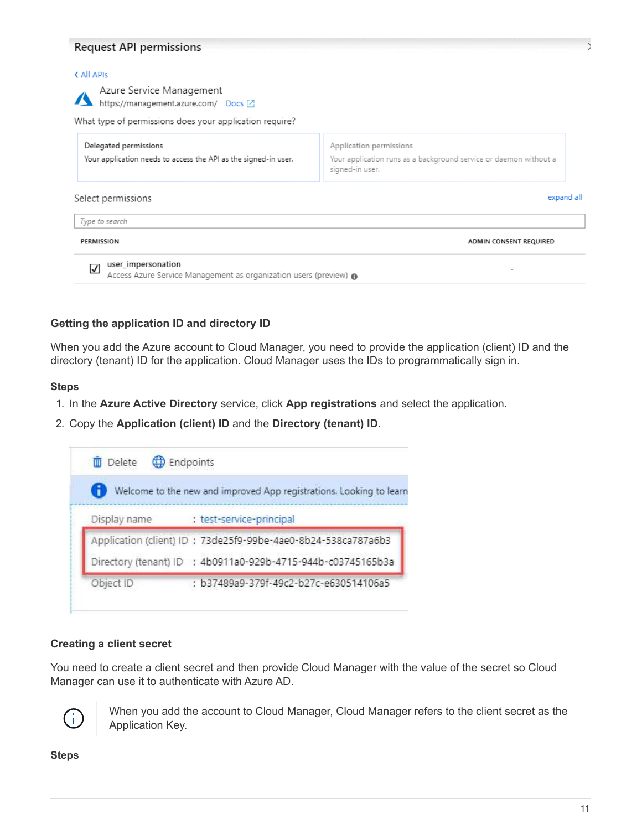#### **Request API permissions**

| PERMISSION                                                                                                                  | ADMIN CONSENT REQUIRED                                                                                          |
|-----------------------------------------------------------------------------------------------------------------------------|-----------------------------------------------------------------------------------------------------------------|
| Type to search                                                                                                              |                                                                                                                 |
| Select permissions                                                                                                          | expand all                                                                                                      |
| Delegated permissions<br>Your application needs to access the API as the signed-in user.                                    | Application permissions<br>Your application runs as a background service or daemon without a<br>signed-in user. |
| Azure Service Management<br>https://management.azure.com/ Docs Z<br>What type of permissions does your application require? |                                                                                                                 |

#### <span id="page-12-0"></span>**Getting the application ID and directory ID**

When you add the Azure account to Cloud Manager, you need to provide the application (client) ID and the directory (tenant) ID for the application. Cloud Manager uses the IDs to programmatically sign in.

#### **Steps**

- 1. In the **Azure Active Directory** service, click **App registrations** and select the application.
- 2. Copy the **Application (client) ID** and the **Directory (tenant) ID**.



#### <span id="page-12-1"></span>**Creating a client secret**

You need to create a client secret and then provide Cloud Manager with the value of the secret so Cloud Manager can use it to authenticate with Azure AD.



When you add the account to Cloud Manager, Cloud Manager refers to the client secret as the Application Key.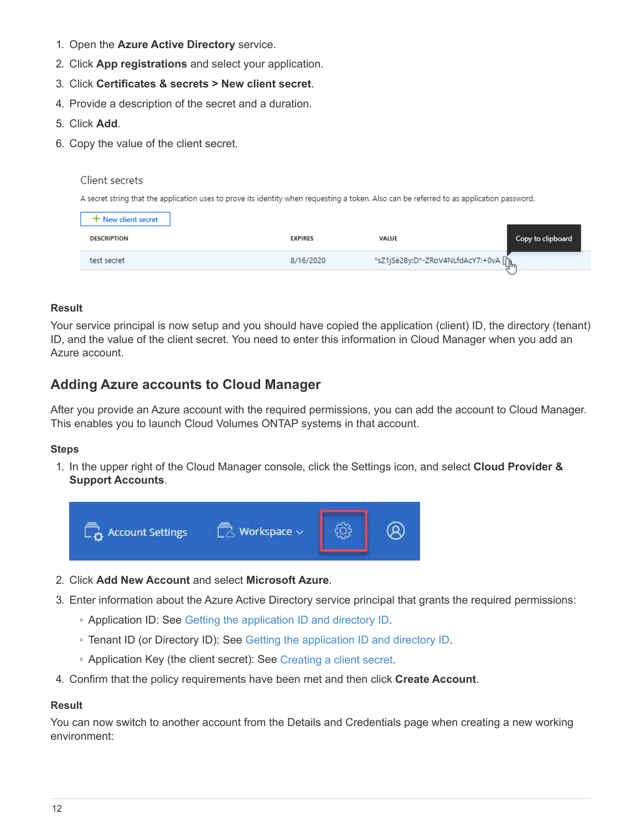- 1. Open the **Azure Active Directory** service.
- 2. Click **App registrations** and select your application.
- 3. Click **Certificates & secrets > New client secret**.
- 4. Provide a description of the secret and a duration.
- 5. Click **Add**.
- 6. Copy the value of the client secret.

Client secrets

A secret string that the application uses to prove its identity when requesting a token. Also can be referred to as application password.

| ⊢ New client secret |                |                                      |                   |
|---------------------|----------------|--------------------------------------|-------------------|
| <b>DESCRIPTION</b>  | <b>EXPIRES</b> | VALUE                                | Copy to clipboard |
| test secret         | 8/16/2020      | *sZ1jSe2By:D*-ZRoV4NLfdAcY7:+0vA [mm |                   |

#### **Result**

Your service principal is now setup and you should have copied the application (client) ID, the directory (tenant) ID, and the value of the client secret. You need to enter this information in Cloud Manager when you add an Azure account.

## **Adding Azure accounts to Cloud Manager**

After you provide an Azure account with the required permissions, you can add the account to Cloud Manager. This enables you to launch Cloud Volumes ONTAP systems in that account.

#### **Steps**

1. In the upper right of the Cloud Manager console, click the Settings icon, and select **Cloud Provider & Support Accounts**.



- 2. Click **Add New Account** and select **Microsoft Azure**.
- 3. Enter information about the Azure Active Directory service principal that grants the required permissions:
	- Application ID: See [Getting the application ID and directory ID](#page-12-0).
	- Tenant ID (or Directory ID): See [Getting the application ID and directory ID.](#page-12-0)
	- Application Key (the client secret): See [Creating a client secret.](#page-12-1)
- 4. Confirm that the policy requirements have been met and then click **Create Account**.

#### **Result**

You can now switch to another account from the Details and Credentials page when creating a new working environment: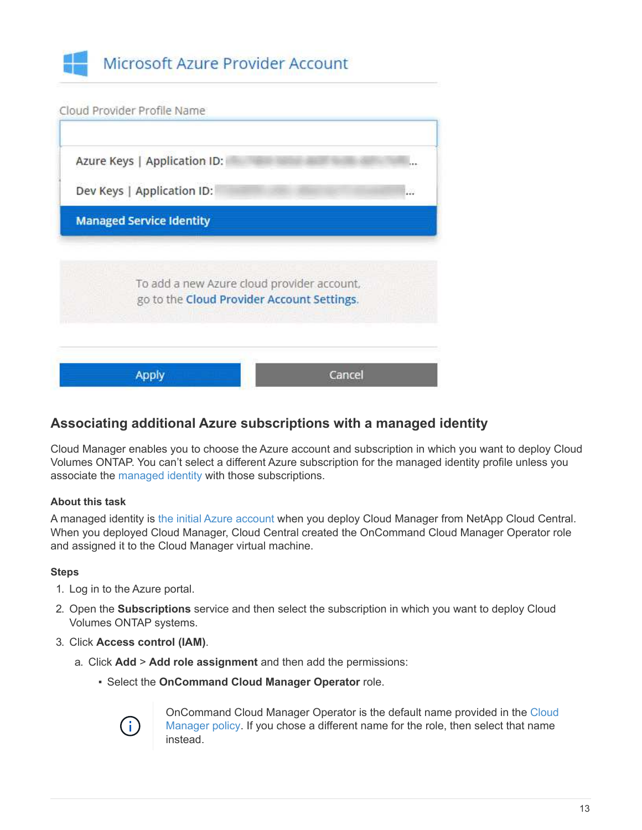



## **Associating additional Azure subscriptions with a managed identity**

Cloud Manager enables you to choose the Azure account and subscription in which you want to deploy Cloud Volumes ONTAP. You can't select a different Azure subscription for the managed identity profile unless you associate the [managed identity](https://docs.microsoft.com/en-us/azure/active-directory/managed-identities-azure-resources/overview) with those subscriptions.

#### **About this task**

A managed identity is [the initial Azure account](https://docs.netapp.com/us-en/occm37/concept_accounts_azure.html) when you deploy Cloud Manager from NetApp Cloud Central. When you deployed Cloud Manager, Cloud Central created the OnCommand Cloud Manager Operator role and assigned it to the Cloud Manager virtual machine.

#### **Steps**

- 1. Log in to the Azure portal.
- 2. Open the **Subscriptions** service and then select the subscription in which you want to deploy Cloud Volumes ONTAP systems.
- 3. Click **Access control (IAM)**.
	- a. Click **Add** > **Add role assignment** and then add the permissions:
		- Select the **OnCommand Cloud Manager Operator** role.



OnCommand Cloud Manager Operator is the default name provided in the [Cloud](https://mysupport.netapp.com/info/web/ECMP11022837.html) [Manager policy](https://mysupport.netapp.com/info/web/ECMP11022837.html). If you chose a different name for the role, then select that name instead.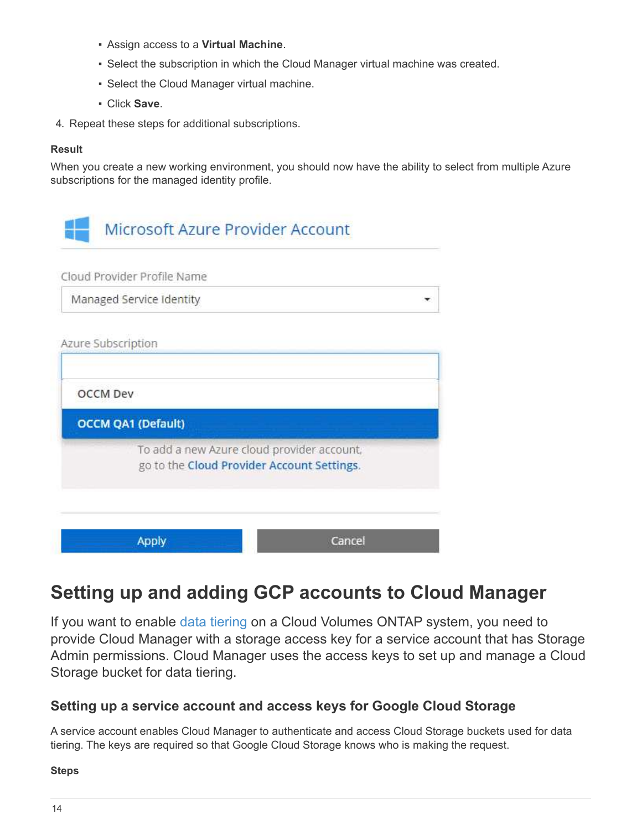- Assign access to a **Virtual Machine**.
- Select the subscription in which the Cloud Manager virtual machine was created.
- Select the Cloud Manager virtual machine.
- Click **Save**.
- 4. Repeat these steps for additional subscriptions.

#### **Result**

When you create a new working environment, you should now have the ability to select from multiple Azure subscriptions for the managed identity profile.

| Microsoft Azure Provider Account |                                                                                          |
|----------------------------------|------------------------------------------------------------------------------------------|
| Cloud Provider Profile Name      |                                                                                          |
| Managed Service Identity         |                                                                                          |
| Azure Subscription               |                                                                                          |
| <b>OCCM Dev</b>                  |                                                                                          |
| <b>OCCM QA1 (Default)</b>        |                                                                                          |
|                                  | To add a new Azure cloud provider account,<br>go to the Cloud Provider Account Settings. |
| <b>Apply</b>                     | Cancel                                                                                   |

## <span id="page-15-0"></span>**Setting up and adding GCP accounts to Cloud Manager**

If you want to enable [data tiering](https://docs.netapp.com/us-en/occm37/concept_data_tiering.html) on a Cloud Volumes ONTAP system, you need to provide Cloud Manager with a storage access key for a service account that has Storage Admin permissions. Cloud Manager uses the access keys to set up and manage a Cloud Storage bucket for data tiering.

## **Setting up a service account and access keys for Google Cloud Storage**

A service account enables Cloud Manager to authenticate and access Cloud Storage buckets used for data tiering. The keys are required so that Google Cloud Storage knows who is making the request.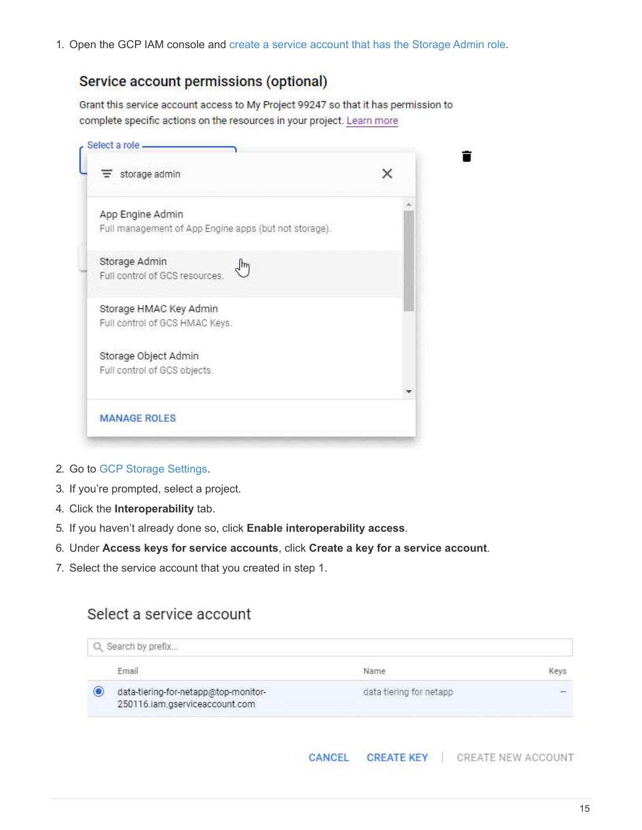1. Open the GCP IAM console and [create a service account that has the Storage Admin role](https://cloud.google.com/iam/docs/creating-custom-roles#creating_a_custom_role).

## Service account permissions (optional)

Grant this service account access to My Project 99247 so that it has permission to complete specific actions on the resources in your project. Learn more

| storage admin                                         | × |
|-------------------------------------------------------|---|
| App Engine Admin                                      |   |
| Full management of App Engine apps (but not storage). |   |
| Storage Admin<br>لسرا                                 |   |
| Full control of GCS resources.                        |   |
| Storage HMAC Key Admin                                |   |
| Full control of GCS HMAC Keys.                        |   |
| Storage Object Admin                                  |   |
| Full control of GCS objects.                          |   |
|                                                       |   |
| <b>MANAGE ROLES</b>                                   |   |

- 2. Go to [GCP Storage Settings.](https://console.cloud.google.com/storage/settings)
- 3. If you're prompted, select a project.
- 4. Click the **Interoperability** tab.
- 5. If you haven't already done so, click **Enable interoperability access**.
- 6. Under **Access keys for service accounts**, click **Create a key for a service account**.
- 7. Select the service account that you created in step 1.

## Select a service account

| Email                                                                       | Keys<br>Name            |
|-----------------------------------------------------------------------------|-------------------------|
| О<br>data-tiering-for-netapp@top-monitor-<br>250116.iam.gserviceaccount.com | data tiering for netapp |
|                                                                             |                         |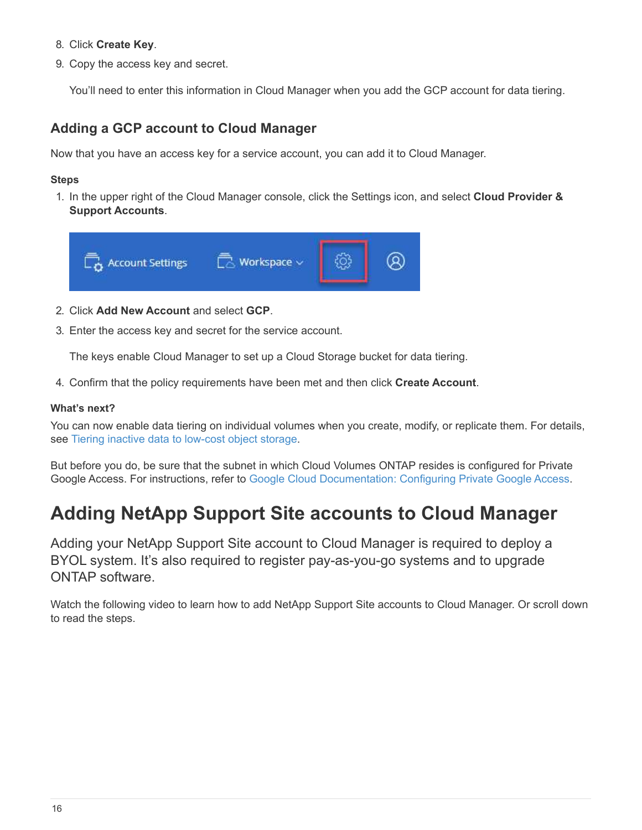- 8. Click **Create Key**.
- 9. Copy the access key and secret.

You'll need to enter this information in Cloud Manager when you add the GCP account for data tiering.

### **Adding a GCP account to Cloud Manager**

Now that you have an access key for a service account, you can add it to Cloud Manager.

#### **Steps**

1. In the upper right of the Cloud Manager console, click the Settings icon, and select **Cloud Provider & Support Accounts**.



- 2. Click **Add New Account** and select **GCP**.
- 3. Enter the access key and secret for the service account.

The keys enable Cloud Manager to set up a Cloud Storage bucket for data tiering.

4. Confirm that the policy requirements have been met and then click **Create Account**.

#### **What's next?**

You can now enable data tiering on individual volumes when you create, modify, or replicate them. For details, see [Tiering inactive data to low-cost object storage](https://docs.netapp.com/us-en/occm37/task_tiering.html).

But before you do, be sure that the subnet in which Cloud Volumes ONTAP resides is configured for Private Google Access. For instructions, refer to [Google Cloud Documentation: Configuring Private Google Access](https://cloud.google.com/vpc/docs/configure-private-google-access).

## <span id="page-17-0"></span>**Adding NetApp Support Site accounts to Cloud Manager**

Adding your NetApp Support Site account to Cloud Manager is required to deploy a BYOL system. It's also required to register pay-as-you-go systems and to upgrade ONTAP software.

Watch the following video to learn how to add NetApp Support Site accounts to Cloud Manager. Or scroll down to read the steps.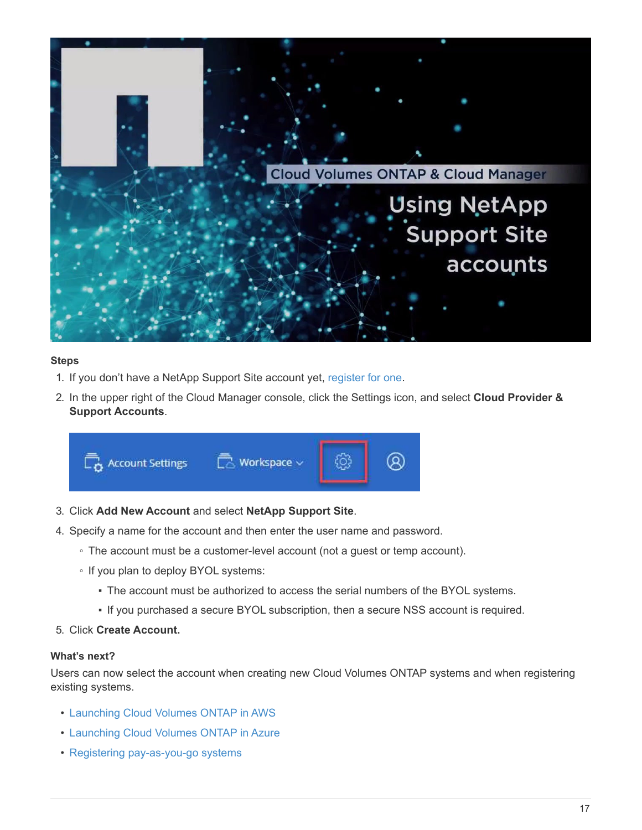

#### **Steps**

- 1. If you don't have a NetApp Support Site account yet, [register for one](http://now.netapp.com/newuser/).
- 2. In the upper right of the Cloud Manager console, click the Settings icon, and select **Cloud Provider & Support Accounts**.



- 3. Click **Add New Account** and select **NetApp Support Site**.
- 4. Specify a name for the account and then enter the user name and password.
	- The account must be a customer-level account (not a guest or temp account).
	- If you plan to deploy BYOL systems:
		- The account must be authorized to access the serial numbers of the BYOL systems.
		- If you purchased a secure BYOL subscription, then a secure NSS account is required.

#### 5. Click **Create Account.**

#### **What's next?**

Users can now select the account when creating new Cloud Volumes ONTAP systems and when registering existing systems.

- [Launching Cloud Volumes ONTAP in AWS](https://docs.netapp.com/us-en/occm37/task_deploying_otc_aws.html)
- [Launching Cloud Volumes ONTAP in Azure](https://docs.netapp.com/us-en/occm37/task_deploying_otc_azure.html)
- [Registering pay-as-you-go systems](https://docs.netapp.com/us-en/occm37/task_registering.html)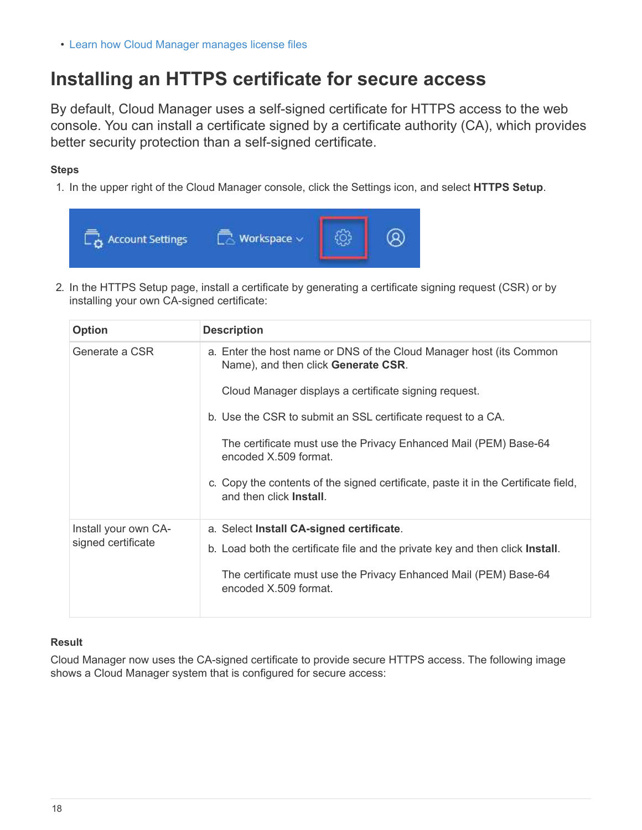• [Learn how Cloud Manager manages license files](https://docs.netapp.com/us-en/occm37/concept_licensing.html)

## <span id="page-19-0"></span>**Installing an HTTPS certificate for secure access**

By default, Cloud Manager uses a self-signed certificate for HTTPS access to the web console. You can install a certificate signed by a certificate authority (CA), which provides better security protection than a self-signed certificate.

#### **Steps**

1. In the upper right of the Cloud Manager console, click the Settings icon, and select **HTTPS Setup**.



2. In the HTTPS Setup page, install a certificate by generating a certificate signing request (CSR) or by installing your own CA-signed certificate:

| <b>Option</b>        | <b>Description</b>                                                                                                    |
|----------------------|-----------------------------------------------------------------------------------------------------------------------|
| Generate a CSR       | a. Enter the host name or DNS of the Cloud Manager host (its Common<br>Name), and then click Generate CSR.            |
|                      | Cloud Manager displays a certificate signing request.                                                                 |
|                      | b. Use the CSR to submit an SSL certificate request to a CA.                                                          |
|                      | The certificate must use the Privacy Enhanced Mail (PEM) Base-64<br>encoded X.509 format.                             |
|                      | c. Copy the contents of the signed certificate, paste it in the Certificate field,<br>and then click <b>Install</b> . |
| Install your own CA- | a. Select Install CA-signed certificate.                                                                              |
| signed certificate   | b. Load both the certificate file and the private key and then click <b>Install</b> .                                 |
|                      | The certificate must use the Privacy Enhanced Mail (PEM) Base-64<br>encoded X.509 format.                             |

#### **Result**

Cloud Manager now uses the CA-signed certificate to provide secure HTTPS access. The following image shows a Cloud Manager system that is configured for secure access: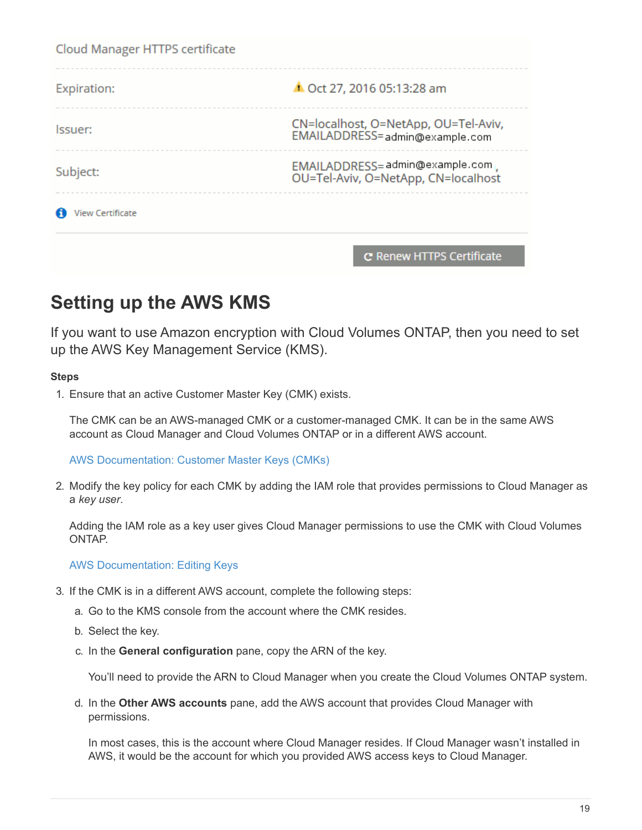| Cloud Manager HTTPS certificate |                                                                        |
|---------------------------------|------------------------------------------------------------------------|
| Expiration:                     | ▲ Oct 27, 2016 05:13:28 am                                             |
| lssuer:                         | CN=localhost, O=NetApp, OU=Tel-Aviv,<br>EMAILADDRESS=admin@example.com |
| Subject:                        | EMAILADDRESS=admin@example.com<br>OU=Tel-Aviv, O=NetApp, CN=localhost  |
| iew Certificate                 |                                                                        |
|                                 |                                                                        |

## <span id="page-20-0"></span>**Setting up the AWS KMS**

If you want to use Amazon encryption with Cloud Volumes ONTAP, then you need to set up the AWS Key Management Service (KMS).

C Renew HTTPS Certificate

#### **Steps**

1. Ensure that an active Customer Master Key (CMK) exists.

The CMK can be an AWS-managed CMK or a customer-managed CMK. It can be in the same AWS account as Cloud Manager and Cloud Volumes ONTAP or in a different AWS account.

[AWS Documentation: Customer Master Keys \(CMKs\)](https://docs.aws.amazon.com/kms/latest/developerguide/concepts.html#master_keys)

2. Modify the key policy for each CMK by adding the IAM role that provides permissions to Cloud Manager as a *key user*.

Adding the IAM role as a key user gives Cloud Manager permissions to use the CMK with Cloud Volumes ONTAP.

[AWS Documentation: Editing Keys](https://docs.aws.amazon.com/kms/latest/developerguide/editing-keys.html)

- 3. If the CMK is in a different AWS account, complete the following steps:
	- a. Go to the KMS console from the account where the CMK resides.
	- b. Select the key.
	- c. In the **General configuration** pane, copy the ARN of the key.

You'll need to provide the ARN to Cloud Manager when you create the Cloud Volumes ONTAP system.

d. In the **Other AWS accounts** pane, add the AWS account that provides Cloud Manager with permissions.

In most cases, this is the account where Cloud Manager resides. If Cloud Manager wasn't installed in AWS, it would be the account for which you provided AWS access keys to Cloud Manager.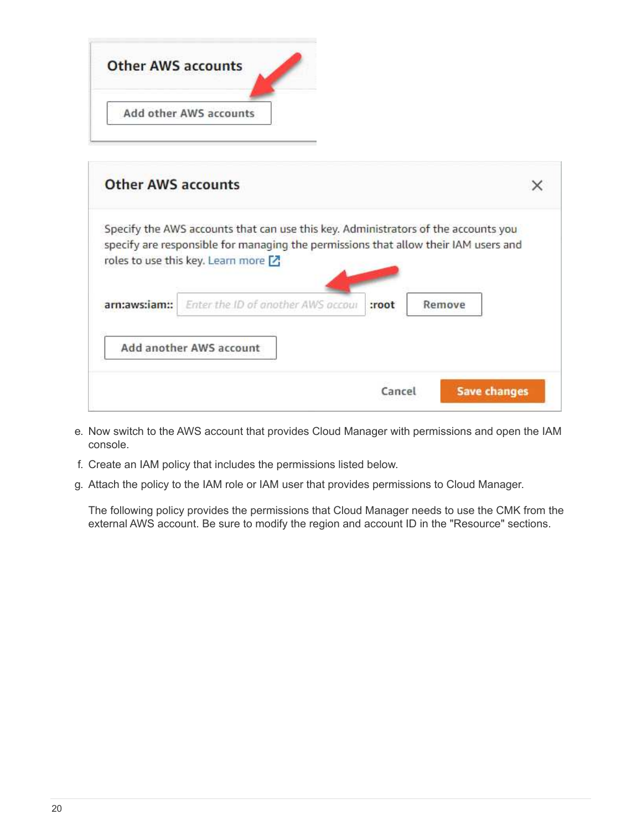| <b>Other AWS accounts</b> |                        |  |  |
|---------------------------|------------------------|--|--|
|                           | Add other AWS accounts |  |  |

| <b>Other AWS accounts</b> |                                                                                                                                                                                                                    |        |                     |  |
|---------------------------|--------------------------------------------------------------------------------------------------------------------------------------------------------------------------------------------------------------------|--------|---------------------|--|
|                           | Specify the AWS accounts that can use this key. Administrators of the accounts you<br>specify are responsible for managing the permissions that allow their IAM users and<br>roles to use this key. Learn more [7] |        |                     |  |
| arn:aws:jam::             | Enter the ID of another AWS accour                                                                                                                                                                                 | :root  | Remove              |  |
|                           | Add another AWS account                                                                                                                                                                                            |        |                     |  |
|                           |                                                                                                                                                                                                                    | Cancel | <b>Save changes</b> |  |

- e. Now switch to the AWS account that provides Cloud Manager with permissions and open the IAM console.
- f. Create an IAM policy that includes the permissions listed below.
- g. Attach the policy to the IAM role or IAM user that provides permissions to Cloud Manager.

The following policy provides the permissions that Cloud Manager needs to use the CMK from the external AWS account. Be sure to modify the region and account ID in the "Resource" sections.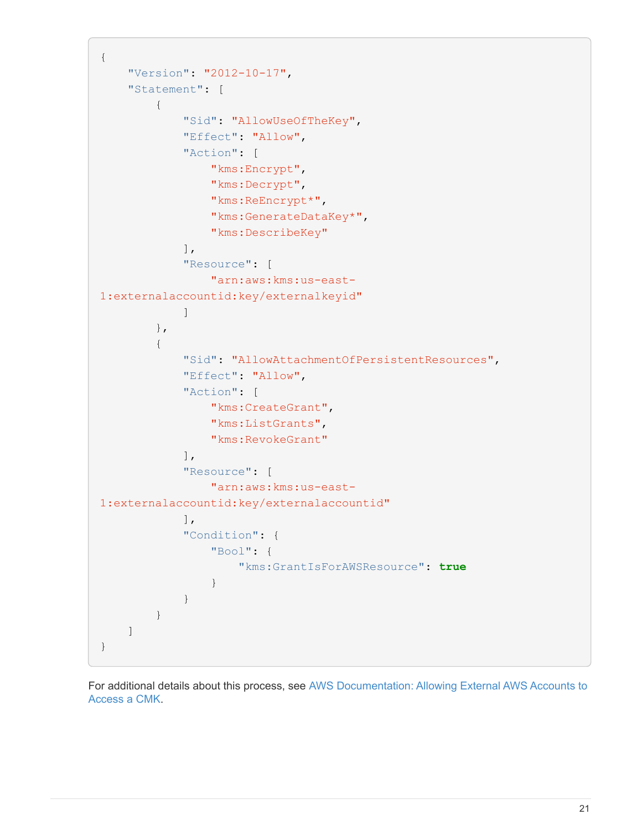```
{
      "Version": "2012-10-17",
      "Statement": [
          {
               "Sid": "AllowUseOfTheKey",
               "Effect": "Allow",
               "Action": [
                   "kms:Encrypt",
                   "kms:Decrypt",
                   "kms:ReEncrypt*",
                   "kms:GenerateDataKey*",
                   "kms:DescribeKey"
             \frac{1}{2}  "Resource": [
                   "arn:aws:kms:us-east-
1:externalaccountid:key/externalkeyid"
  ]
          },
\{  "Sid": "AllowAttachmentOfPersistentResources",
               "Effect": "Allow",
               "Action": [
                   "kms:CreateGrant",
                   "kms:ListGrants",
                   "kms:RevokeGrant"
             \frac{1}{2},
               "Resource": [
                   "arn:aws:kms:us-east-
1:externalaccountid:key/externalaccountid"
               ],
               "Condition": {
                   "Bool": {
                       "kms:GrantIsForAWSResource": true
  }
  }
          }
      ]
}
```
For additional details about this process, see [AWS Documentation: Allowing External AWS Accounts to](https://docs.aws.amazon.com/kms/latest/developerguide/key-policy-modifying.html#key-policy-modifying-external-accounts) [Access a CMK](https://docs.aws.amazon.com/kms/latest/developerguide/key-policy-modifying.html#key-policy-modifying-external-accounts).